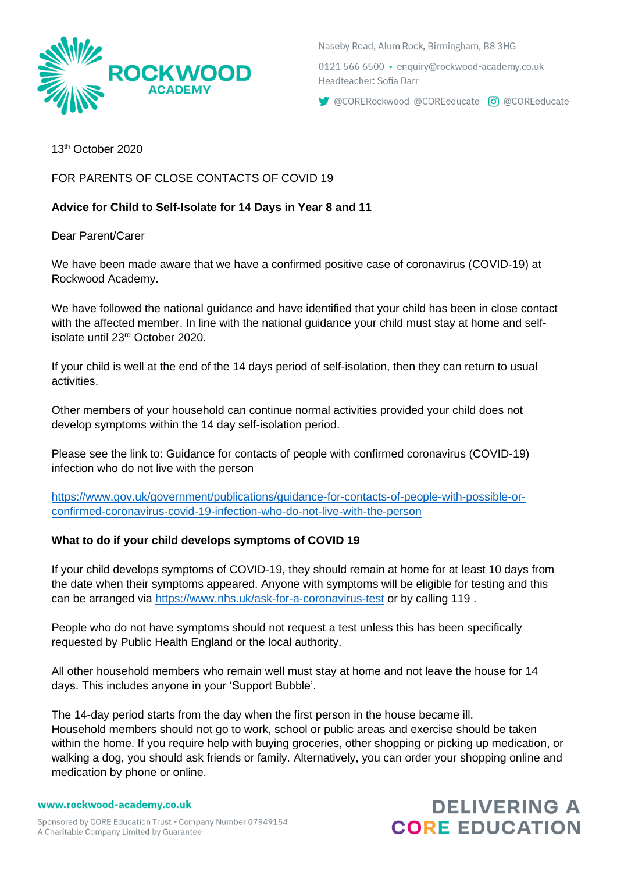

Naseby Road, Alum Rock, Birmingham, B8 3HG

0121 566 6500 · enquiry@rockwood-academy.co.uk Headteacher: Sofia Darr

CORERockwood @COREeducate 0 @COREeducate

13 th October 2020

FOR PARENTS OF CLOSE CONTACTS OF COVID 19

# **Advice for Child to Self-Isolate for 14 Days in Year 8 and 11**

Dear Parent/Carer

We have been made aware that we have a confirmed positive case of coronavirus (COVID-19) at Rockwood Academy.

We have followed the national guidance and have identified that your child has been in close contact with the affected member. In line with the national quidance your child must stay at home and selfisolate until 23<sup>rd</sup> October 2020.

If your child is well at the end of the 14 days period of self-isolation, then they can return to usual activities.

Other members of your household can continue normal activities provided your child does not develop symptoms within the 14 day self-isolation period.

Please see the link to: Guidance for contacts of people with confirmed coronavirus (COVID-19) infection who do not live with the person

[https://www.gov.uk/government/publications/guidance-for-contacts-of-people-with-possible-or](https://www.gov.uk/government/publications/guidance-for-contacts-of-people-with-possible-or-confirmed-coronavirus-covid-19-infection-who-do-not-live-with-the-person)[confirmed-coronavirus-covid-19-infection-who-do-not-live-with-the-person](https://www.gov.uk/government/publications/guidance-for-contacts-of-people-with-possible-or-confirmed-coronavirus-covid-19-infection-who-do-not-live-with-the-person)

### **What to do if your child develops symptoms of COVID 19**

If your child develops symptoms of COVID-19, they should remain at home for at least 10 days from the date when their symptoms appeared. Anyone with symptoms will be eligible for testing and this can be arranged via<https://www.nhs.uk/ask-for-a-coronavirus-test> or by calling 119.

People who do not have symptoms should not request a test unless this has been specifically requested by Public Health England or the local authority.

All other household members who remain well must stay at home and not leave the house for 14 days. This includes anyone in your 'Support Bubble'.

The 14-day period starts from the day when the first person in the house became ill. Household members should not go to work, school or public areas and exercise should be taken within the home. If you require help with buying groceries, other shopping or picking up medication, or walking a dog, you should ask friends or family. Alternatively, you can order your shopping online and medication by phone or online.